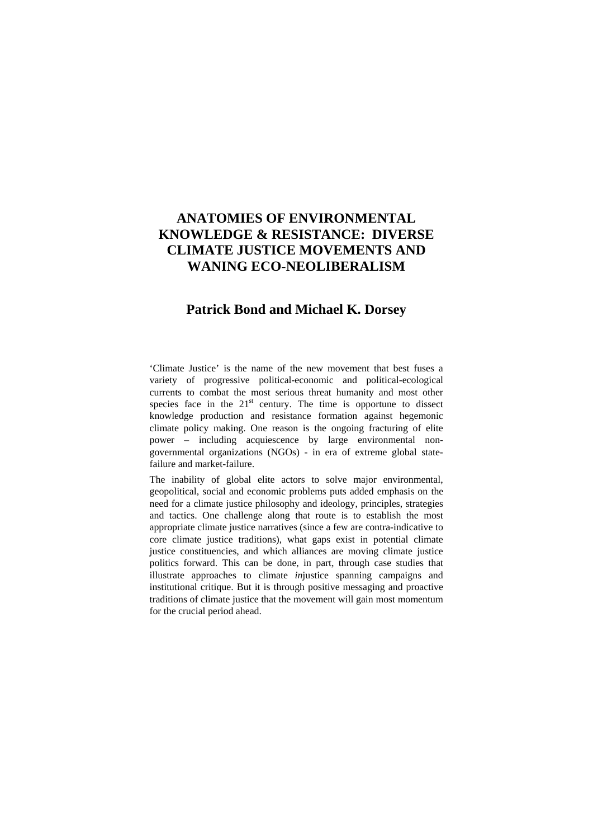# **ANATOMIES OF ENVIRONMENTAL KNOWLEDGE & RESISTANCE: DIVERSE CLIMATE JUSTICE MOVEMENTS AND WANING ECO-NEOLIBERALISM**

# **Patrick Bond and Michael K. Dorsey**

'Climate Justice' is the name of the new movement that best fuses a variety of progressive political-economic and political-ecological currents to combat the most serious threat humanity and most other species face in the  $21<sup>st</sup>$  century. The time is opportune to dissect knowledge production and resistance formation against hegemonic climate policy making. One reason is the ongoing fracturing of elite power – including acquiescence by large environmental nongovernmental organizations (NGOs) - in era of extreme global statefailure and market-failure.

The inability of global elite actors to solve major environmental, geopolitical, social and economic problems puts added emphasis on the need for a climate justice philosophy and ideology, principles, strategies and tactics. One challenge along that route is to establish the most appropriate climate justice narratives (since a few are contra-indicative to core climate justice traditions), what gaps exist in potential climate justice constituencies, and which alliances are moving climate justice politics forward. This can be done, in part, through case studies that illustrate approaches to climate *in*justice spanning campaigns and institutional critique. But it is through positive messaging and proactive traditions of climate justice that the movement will gain most momentum for the crucial period ahead.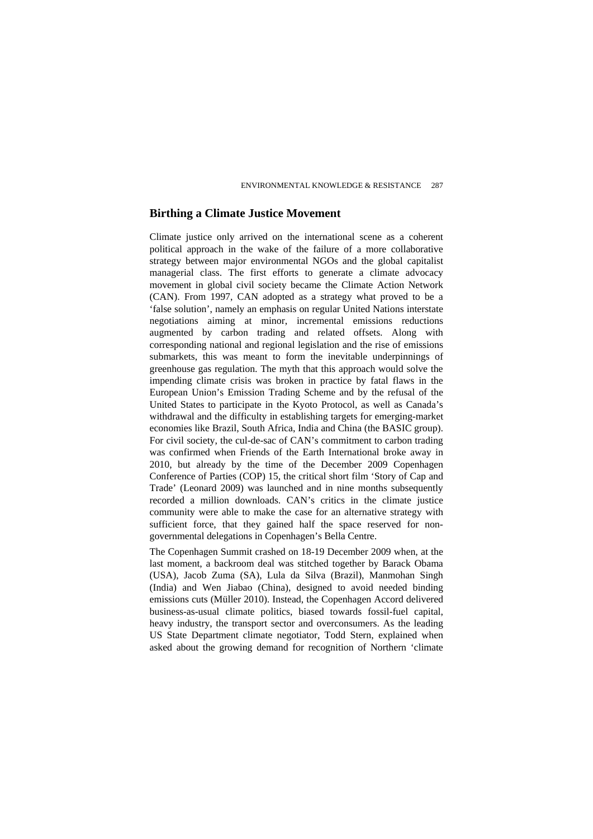### **Birthing a Climate Justice Movement**

Climate justice only arrived on the international scene as a coherent political approach in the wake of the failure of a more collaborative strategy between major environmental NGOs and the global capitalist managerial class. The first efforts to generate a climate advocacy movement in global civil society became the Climate Action Network (CAN). From 1997, CAN adopted as a strategy what proved to be a 'false solution', namely an emphasis on regular United Nations interstate negotiations aiming at minor, incremental emissions reductions augmented by carbon trading and related offsets. Along with corresponding national and regional legislation and the rise of emissions submarkets, this was meant to form the inevitable underpinnings of greenhouse gas regulation. The myth that this approach would solve the impending climate crisis was broken in practice by fatal flaws in the European Union's Emission Trading Scheme and by the refusal of the United States to participate in the Kyoto Protocol, as well as Canada's withdrawal and the difficulty in establishing targets for emerging-market economies like Brazil, South Africa, India and China (the BASIC group). For civil society, the cul-de-sac of CAN's commitment to carbon trading was confirmed when Friends of the Earth International broke away in 2010, but already by the time of the December 2009 Copenhagen Conference of Parties (COP) 15, the critical short film 'Story of Cap and Trade' (Leonard 2009) was launched and in nine months subsequently recorded a million downloads. CAN's critics in the climate justice community were able to make the case for an alternative strategy with sufficient force, that they gained half the space reserved for nongovernmental delegations in Copenhagen's Bella Centre.

The Copenhagen Summit crashed on 18-19 December 2009 when, at the last moment, a backroom deal was stitched together by Barack Obama (USA), Jacob Zuma (SA), Lula da Silva (Brazil), Manmohan Singh (India) and Wen Jiabao (China), designed to avoid needed binding emissions cuts (Müller 2010). Instead, the Copenhagen Accord delivered business-as-usual climate politics, biased towards fossil-fuel capital, heavy industry, the transport sector and overconsumers. As the leading US State Department climate negotiator, Todd Stern, explained when asked about the growing demand for recognition of Northern 'climate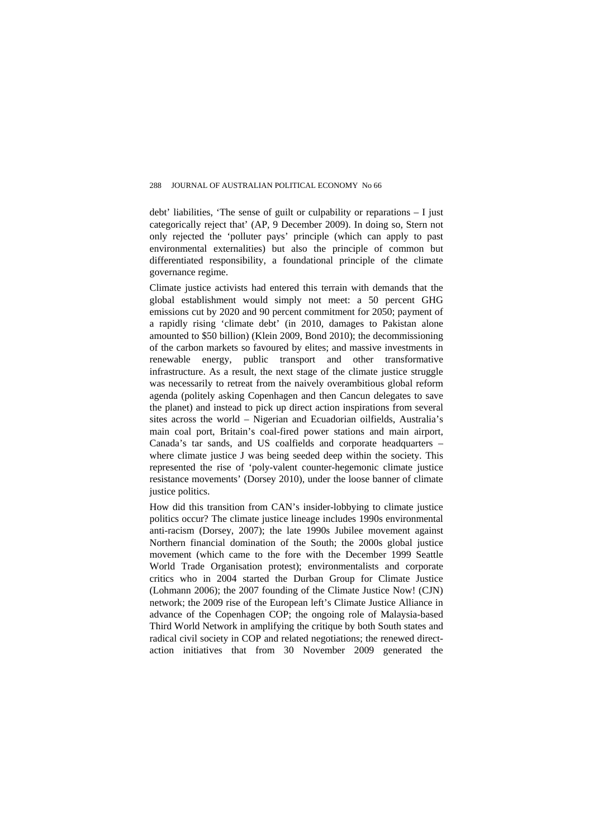debt' liabilities, 'The sense of guilt or culpability or reparations – I just categorically reject that' (AP, 9 December 2009). In doing so, Stern not only rejected the 'polluter pays' principle (which can apply to past environmental externalities) but also the principle of common but differentiated responsibility, a foundational principle of the climate governance regime.

Climate justice activists had entered this terrain with demands that the global establishment would simply not meet: a 50 percent GHG emissions cut by 2020 and 90 percent commitment for 2050; payment of a rapidly rising 'climate debt' (in 2010, damages to Pakistan alone amounted to \$50 billion) (Klein 2009, Bond 2010); the decommissioning of the carbon markets so favoured by elites; and massive investments in renewable energy, public transport and other transformative infrastructure. As a result, the next stage of the climate justice struggle was necessarily to retreat from the naively overambitious global reform agenda (politely asking Copenhagen and then Cancun delegates to save the planet) and instead to pick up direct action inspirations from several sites across the world – Nigerian and Ecuadorian oilfields, Australia's main coal port, Britain's coal-fired power stations and main airport, Canada's tar sands, and US coalfields and corporate headquarters – where climate justice J was being seeded deep within the society. This represented the rise of 'poly-valent counter-hegemonic climate justice resistance movements' (Dorsey 2010), under the loose banner of climate justice politics.

How did this transition from CAN's insider-lobbying to climate justice politics occur? The climate justice lineage includes 1990s environmental anti-racism (Dorsey, 2007); the late 1990s Jubilee movement against Northern financial domination of the South; the 2000s global justice movement (which came to the fore with the December 1999 Seattle World Trade Organisation protest); environmentalists and corporate critics who in 2004 started the Durban Group for Climate Justice (Lohmann 2006); the 2007 founding of the Climate Justice Now! (CJN) network; the 2009 rise of the European left's Climate Justice Alliance in advance of the Copenhagen COP; the ongoing role of Malaysia-based Third World Network in amplifying the critique by both South states and radical civil society in COP and related negotiations; the renewed directaction initiatives that from 30 November 2009 generated the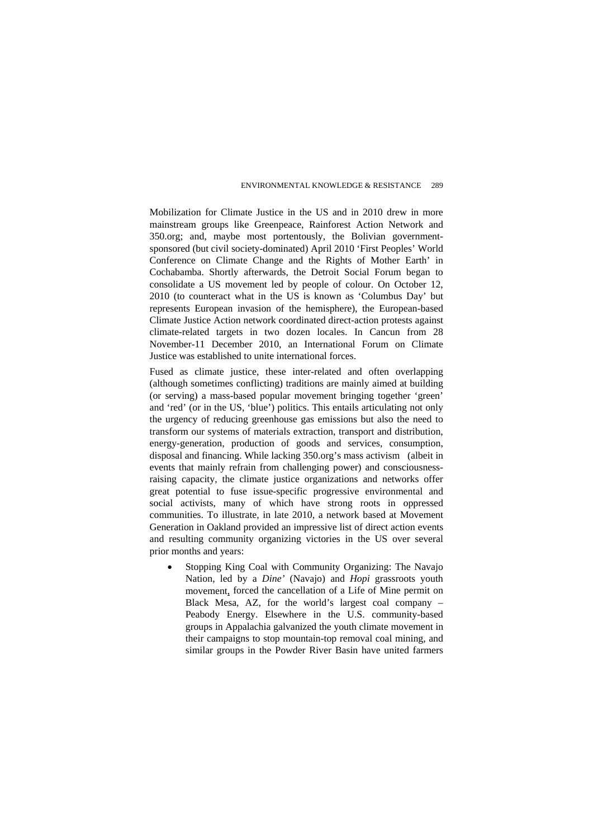Mobilization for Climate Justice in the US and in 2010 drew in more mainstream groups like Greenpeace, Rainforest Action Network and 350.org; and, maybe most portentously, the Bolivian governmentsponsored (but civil society-dominated) April 2010 'First Peoples' World Conference on Climate Change and the Rights of Mother Earth' in Cochabamba. Shortly afterwards, the Detroit Social Forum began to consolidate a US movement led by people of colour. On October 12, 2010 (to counteract what in the US is known as 'Columbus Day' but represents European invasion of the hemisphere), the European-based Climate Justice Action network coordinated direct-action protests against climate-related targets in two dozen locales. In Cancun from 28 November-11 December 2010, an International Forum on Climate Justice was established to unite international forces.

Fused as climate justice, these inter-related and often overlapping (although sometimes conflicting) traditions are mainly aimed at building (or serving) a mass-based popular movement bringing together 'green' and 'red' (or in the US, 'blue') politics. This entails articulating not only the urgency of reducing greenhouse gas emissions but also the need to transform our systems of materials extraction, transport and distribution, energy-generation, production of goods and services, consumption, disposal and financing. While lacking 350.org's mass activism (albeit in events that mainly refrain from challenging power) and consciousnessraising capacity, the climate justice organizations and networks offer great potential to fuse issue-specific progressive environmental and social activists, many of which have strong roots in oppressed communities. To illustrate, in late 2010, a network based at Movement Generation in Oakland provided an impressive list of direct action events and resulting community organizing victories in the US over several prior months and years:

Stopping King Coal with Community Organizing: The Navajo Nation, led by a *Dine'* (Navajo) and *Hopi* [grassroots youth](http://www.blackmesawatercoalition.org/)  [movement,](http://www.blackmesawatercoalition.org/) forced the cancellation of a Life of Mine permit on Black Mesa, AZ, for the world's largest coal company – Peabody Energy. Elsewhere in the U.S. community-based groups in Appalachia galvanized the youth climate movement in their campaigns to stop mountain-top removal coal mining, and similar groups in the Powder River Basin have united farmers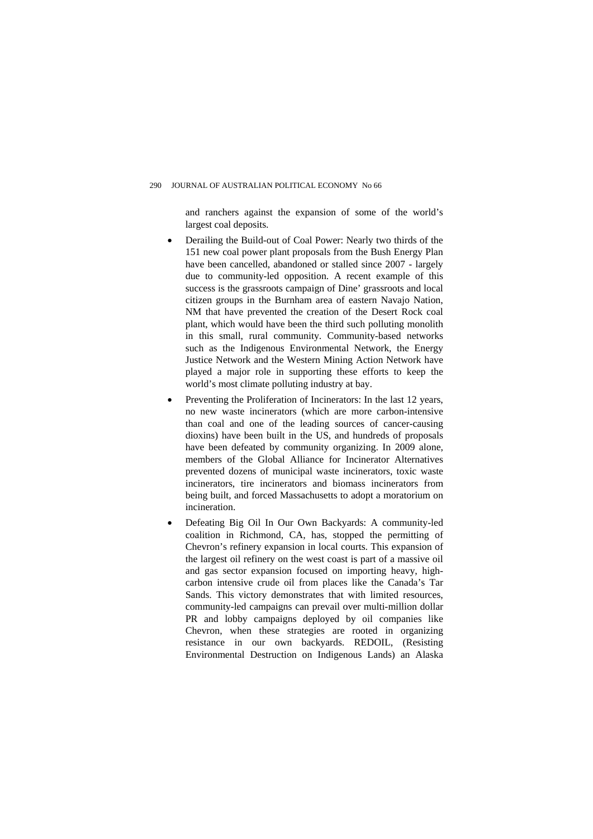and ranchers against the expansion of some of the world's largest coal deposits.

- Derailing the Build-out of Coal Power: [Nearly two thirds of the](http://www.sourcewatch.org/index.php?title=What_happened_to_the_151_proposed_coal_plants%3F)  [151 new coal power plant proposals from the Bush Energy Plan](http://www.sourcewatch.org/index.php?title=What_happened_to_the_151_proposed_coal_plants%3F)  [have been cancelled,](http://www.sourcewatch.org/index.php?title=What_happened_to_the_151_proposed_coal_plants%3F) abandoned or stalled since 2007 - largely due to community-led opposition. A recent example of this success is [the grassroots campaign of Dine' grassroots](http://www.desert-rock-blog.com/) and local citizen groups in the Burnham area of eastern Navajo Nation, NM that have prevented the creation of the [Desert Rock](http://www.desert-rock-blog.com/) coal plant, which would have been the third such polluting monolith in this small, rural community. Community-based networks such as the Indigenous Environmental Network, the Energy Justice Network and the Western Mining Action Network have played a major role in supporting these efforts to keep the world's most climate polluting industry at bay.
- Preventing the Proliferation of Incinerators: In the last 12 years, no new waste incinerators (which are more carbon-intensive than coal and one of the leading sources of cancer-causing dioxins) have been built in the US, and hundreds of proposals have been defeated by community organizing. In 2009 alone, members of the Global Alliance for Incinerator Alternatives [prevented dozens of municipal waste incinerators](http://www.no-burn.org/article.php?id=940), toxic waste incinerators, tire incinerators and biomass incinerators from being built, and forced Massachusetts to adopt a moratorium on incineration.
- Defeating Big Oil In Our Own Backyards: A community-led coalition in Richmond, CA, has, [stopped the permitting of](http://www.cbecal.org/campaigns/Chevron.html)  [Chevron's refinery expansion](http://www.cbecal.org/campaigns/Chevron.html) in local courts. This expansion of the largest oil refinery on the west coast is part of a massive oil and gas sector expansion focused on importing heavy, highcarbon intensive crude oil from places like the Canada's Tar Sands. This victory demonstrates that with limited resources, community-led campaigns can prevail over multi-million dollar PR and lobby campaigns deployed by oil companies like Chevron, when these strategies are rooted in organizing resistance in our own backyards. REDOIL, (Resisting Environmental Destruction on Indigenous Lands) an Alaska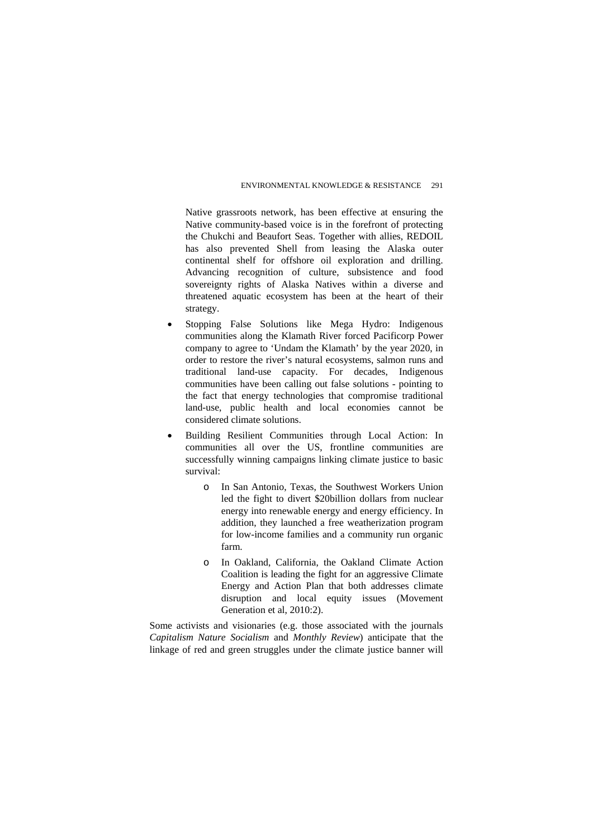Native grassroots network, has been effective at ensuring the Native community-based voice is in the forefront of protecting the Chukchi and Beaufort Seas. Together with allies, REDOIL has also [prevented Shell from leasing the Alaska outer](http://www.ienearth.org/news/WIN_IN_ALASKA%21.html)  [continental shelf for offshore oil](http://www.ienearth.org/news/WIN_IN_ALASKA%21.html) exploration and drilling. Advancing recognition of culture, subsistence and food sovereignty rights of Alaska Natives within a diverse and threatened aquatic ecosystem has been at the heart of their strategy.

- Stopping False Solutions like Mega Hydro: Indigenous communities along the Klamath River forced Pacificorp Power company to agree to ['Undam the Klamath'](http://www.klamathriver.org/media/pressreleases/PR-21810.html) by the year 2020, in order to restore the river's natural ecosystems, salmon runs and traditional land-use capacity. For decades, Indigenous communities have been calling out false solutions - pointing to the fact that energy technologies that compromise traditional land-use, public health and local economies cannot be considered climate solutions.
- Building Resilient Communities through Local Action: In communities all over the US, frontline communities are successfully winning campaigns linking climate justice to basic survival:
	- o In San Antonio, Texas, the Southwest Workers Union led the fight to divert \$20billion dollars from nuclear energy into renewable energy and energy efficiency. In addition, they launched a free weatherization program for low-income families and a community run organic farm.
	- o In Oakland, California, the [Oakland Climate Action](http://www.ellabakercenter.org/?p=gcjc_oakland_climate_action_coalition)  [Coalition](http://www.ellabakercenter.org/?p=gcjc_oakland_climate_action_coalition) is leading the fight for an aggressive Climate Energy and Action Plan that both addresses climate disruption and local equity issues (Movement Generation et al, 2010:2).

Some activists and visionaries (e.g. those associated with the journals *Capitalism Nature Socialism* and *Monthly Review*) anticipate that the linkage of red and green struggles under the climate justice banner will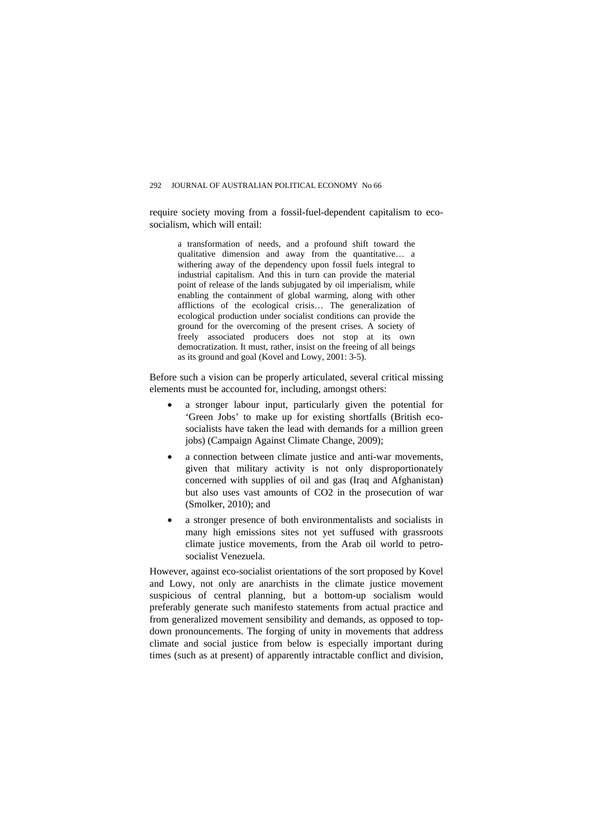#### 292 JOURNAL OF AUSTRALIAN POLITICAL ECONOMY No 66

require society moving from a fossil-fuel-dependent capitalism to ecosocialism, which will entail:

a transformation of needs, and a profound shift toward the qualitative dimension and away from the quantitative… a withering away of the dependency upon fossil fuels integral to industrial capitalism. And this in turn can provide the material point of release of the lands subjugated by oil imperialism, while enabling the containment of global warming, along with other afflictions of the ecological crisis… The generalization of ecological production under socialist conditions can provide the ground for the overcoming of the present crises. A society of freely associated producers does not stop at its own democratization. It must, rather, insist on the freeing of all beings as its ground and goal (Kovel and Lowy, 2001: 3-5).

Before such a vision can be properly articulated, several critical missing elements must be accounted for, including, amongst others:

- a stronger labour input, particularly given the potential for 'Green Jobs' to make up for existing shortfalls (British ecosocialists have taken the lead with demands for a million green jobs) (Campaign Against Climate Change, 2009);
- a connection between climate justice and anti-war movements, given that military activity is not only disproportionately concerned with supplies of oil and gas (Iraq and Afghanistan) but also uses vast amounts of CO2 in the prosecution of war (Smolker, 2010); and
- a stronger presence of both environmentalists and socialists in many high emissions sites not yet suffused with grassroots climate justice movements, from the Arab oil world to petrosocialist Venezuela.

However, against eco-socialist orientations of the sort proposed by Kovel and Lowy, not only are anarchists in the climate justice movement suspicious of central planning, but a bottom-up socialism would preferably generate such manifesto statements from actual practice and from generalized movement sensibility and demands, as opposed to topdown pronouncements. The forging of unity in movements that address climate and social justice from below is especially important during times (such as at present) of apparently intractable conflict and division,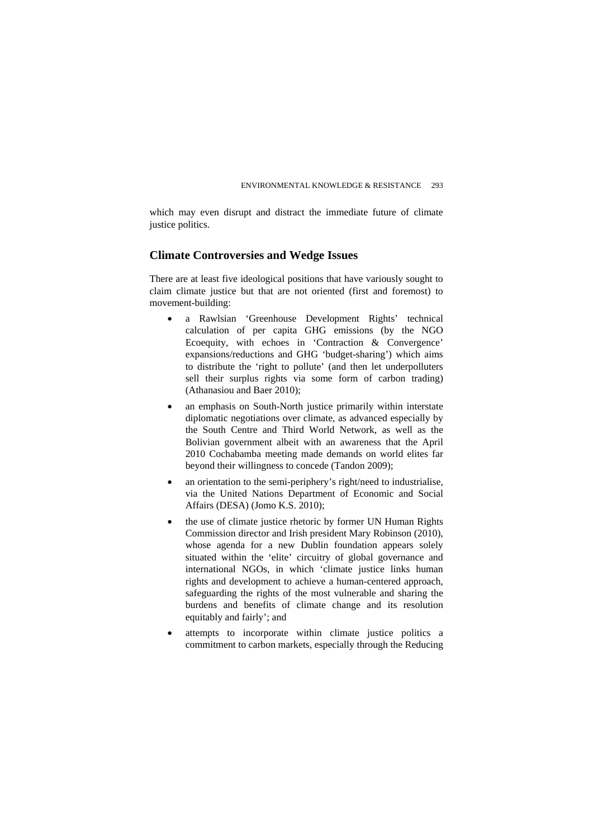which may even disrupt and distract the immediate future of climate justice politics.

### **Climate Controversies and Wedge Issues**

There are at least five ideological positions that have variously sought to claim climate justice but that are not oriented (first and foremost) to movement-building:

- a Rawlsian 'Greenhouse Development Rights' technical calculation of per capita GHG emissions (by the NGO Ecoequity, with echoes in 'Contraction & Convergence' expansions/reductions and GHG 'budget-sharing') which aims to distribute the 'right to pollute' (and then let underpolluters sell their surplus rights via some form of carbon trading) (Athanasiou and Baer 2010);
- an emphasis on South-North justice primarily within interstate diplomatic negotiations over climate, as advanced especially by the South Centre and Third World Network, as well as the Bolivian government albeit with an awareness that the April 2010 Cochabamba meeting made demands on world elites far beyond their willingness to concede (Tandon 2009);
- an orientation to the semi-periphery's right/need to industrialise, via the United Nations Department of Economic and Social Affairs (DESA) (Jomo K.S. 2010);
- the use of climate justice rhetoric by former UN Human Rights Commission director and Irish president Mary Robinson (2010), whose agenda for a new Dublin foundation appears solely situated within the 'elite' circuitry of global governance and international NGOs, in which 'climate justice links human rights and development to achieve a human-centered approach, safeguarding the rights of the most vulnerable and sharing the burdens and benefits of climate change and its resolution equitably and fairly'; and
- attempts to incorporate within climate justice politics a commitment to carbon markets, especially through the Reducing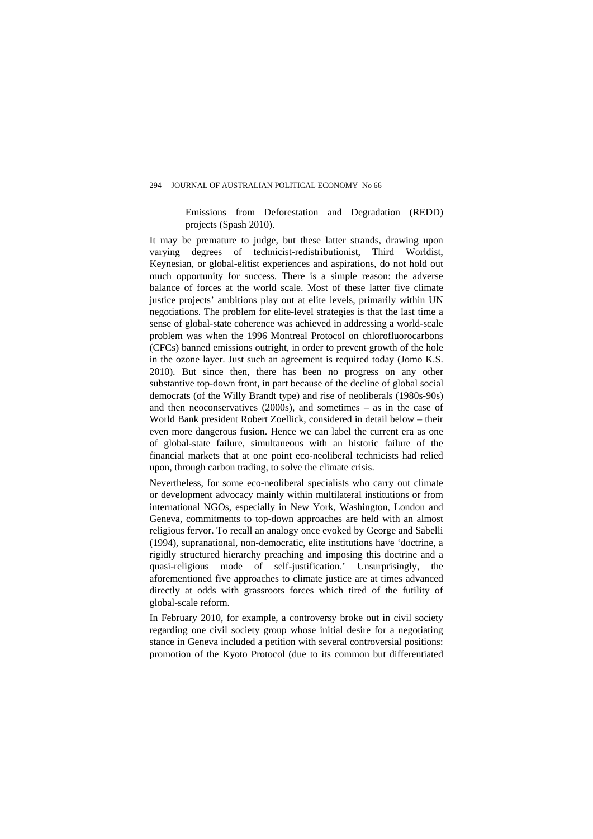#### 294 JOURNAL OF AUSTRALIAN POLITICAL ECONOMY No 66

Emissions from Deforestation and Degradation (REDD) projects (Spash 2010).

It may be premature to judge, but these latter strands, drawing upon varying degrees of technicist-redistributionist, Third Worldist, Keynesian, or global-elitist experiences and aspirations, do not hold out much opportunity for success. There is a simple reason: the adverse balance of forces at the world scale. Most of these latter five climate justice projects' ambitions play out at elite levels, primarily within UN negotiations. The problem for elite-level strategies is that the last time a sense of global-state coherence was achieved in addressing a world-scale problem was when the 1996 Montreal Protocol on chlorofluorocarbons (CFCs) banned emissions outright, in order to prevent growth of the hole in the ozone layer. Just such an agreement is required today (Jomo K.S. 2010). But since then, there has been no progress on any other substantive top-down front, in part because of the decline of global social democrats (of the Willy Brandt type) and rise of neoliberals (1980s-90s) and then neoconservatives (2000s), and sometimes – as in the case of World Bank president Robert Zoellick, considered in detail below – their even more dangerous fusion. Hence we can label the current era as one of global-state failure, simultaneous with an historic failure of the financial markets that at one point eco-neoliberal technicists had relied upon, through carbon trading, to solve the climate crisis.

Nevertheless, for some eco-neoliberal specialists who carry out climate or development advocacy mainly within multilateral institutions or from international NGOs, especially in New York, Washington, London and Geneva, commitments to top-down approaches are held with an almost religious fervor. To recall an analogy once evoked by George and Sabelli (1994), supranational, non-democratic, elite institutions have 'doctrine, a rigidly structured hierarchy preaching and imposing this doctrine and a quasi-religious mode of self-justification.' Unsurprisingly, the aforementioned five approaches to climate justice are at times advanced directly at odds with grassroots forces which tired of the futility of global-scale reform.

In February 2010, for example, a controversy broke out in civil society regarding one civil society group whose initial desire for a negotiating stance in Geneva included a petition with several controversial positions: promotion of the Kyoto Protocol (due to its common but differentiated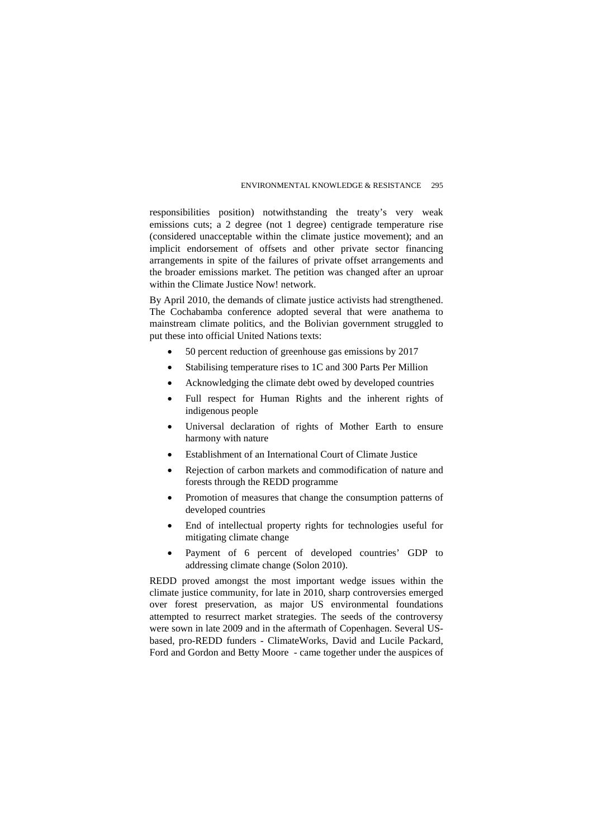responsibilities position) notwithstanding the treaty's very weak emissions cuts; a 2 degree (not 1 degree) centigrade temperature rise (considered unacceptable within the climate justice movement); and an implicit endorsement of offsets and other private sector financing arrangements in spite of the failures of private offset arrangements and the broader emissions market. The petition was changed after an uproar within the Climate Justice Now! network.

By April 2010, the demands of climate justice activists had strengthened. The Cochabamba conference adopted several that were anathema to mainstream climate politics, and the Bolivian government struggled to put these into official United Nations texts:

- 50 percent reduction of greenhouse gas emissions by 2017
- Stabilising temperature rises to 1C and 300 Parts Per Million
- Acknowledging the climate debt owed by developed countries
- Full respect for Human Rights and the inherent rights of indigenous people
- Universal declaration of rights of Mother Earth to ensure harmony with nature
- Establishment of an International Court of Climate Justice
- Rejection of carbon markets and commodification of nature and forests through the REDD programme
- Promotion of measures that change the consumption patterns of developed countries
- End of intellectual property rights for technologies useful for mitigating climate change
- Payment of 6 percent of developed countries' GDP to addressing climate change (Solon 2010).

REDD proved amongst the most important wedge issues within the climate justice community, for late in 2010, sharp controversies emerged over forest preservation, as major US environmental foundations attempted to resurrect market strategies. The seeds of the controversy were sown in late 2009 and in the aftermath of Copenhagen. Several USbased, pro-REDD funders - ClimateWorks, David and Lucile Packard, Ford and Gordon and Betty Moore - came together under the auspices of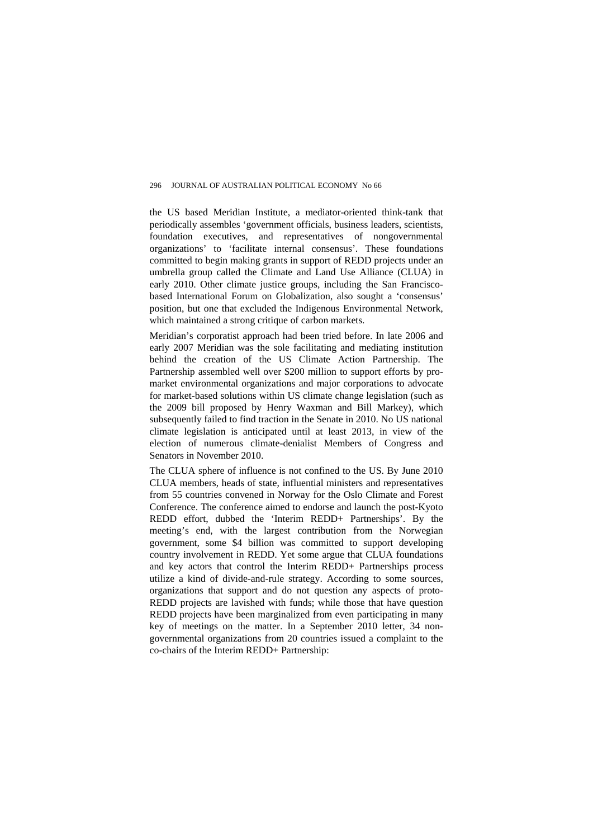the US based Meridian Institute, a mediator-oriented think-tank that periodically assembles 'government officials, business leaders, scientists, foundation executives, and representatives of nongovernmental organizations' to 'facilitate internal consensus'. These foundations committed to begin making grants in support of REDD projects under an umbrella group called the Climate and Land Use Alliance (CLUA) in early 2010. Other climate justice groups, including the San Franciscobased International Forum on Globalization, also sought a 'consensus' position, but one that excluded the Indigenous Environmental Network, which maintained a strong critique of carbon markets.

Meridian's corporatist approach had been tried before. In late 2006 and early 2007 Meridian was the sole facilitating and mediating institution behind the creation of the US Climate Action Partnership. The Partnership assembled well over \$200 million to support efforts by promarket environmental organizations and major corporations to advocate for market-based solutions within US climate change legislation (such as the 2009 bill proposed by Henry Waxman and Bill Markey), which subsequently failed to find traction in the Senate in 2010. No US national climate legislation is anticipated until at least 2013, in view of the election of numerous climate-denialist Members of Congress and Senators in November 2010.

The CLUA sphere of influence is not confined to the US. By June 2010 CLUA members, heads of state, influential ministers and representatives from 55 countries convened in Norway for the Oslo Climate and Forest Conference. The conference aimed to endorse and launch the post-Kyoto REDD effort, dubbed the 'Interim REDD+ Partnerships'. By the meeting's end, with the largest contribution from the Norwegian government, some \$4 billion was committed to support developing country involvement in REDD. Yet some argue that CLUA foundations and key actors that control the Interim REDD+ Partnerships process utilize a kind of divide-and-rule strategy. According to some sources, organizations that support and do not question any aspects of proto-REDD projects are lavished with funds; while those that have question REDD projects have been marginalized from even participating in many key of meetings on the matter. In a September 2010 letter, 34 nongovernmental organizations from 20 countries issued a complaint to the co-chairs of the Interim REDD+ Partnership: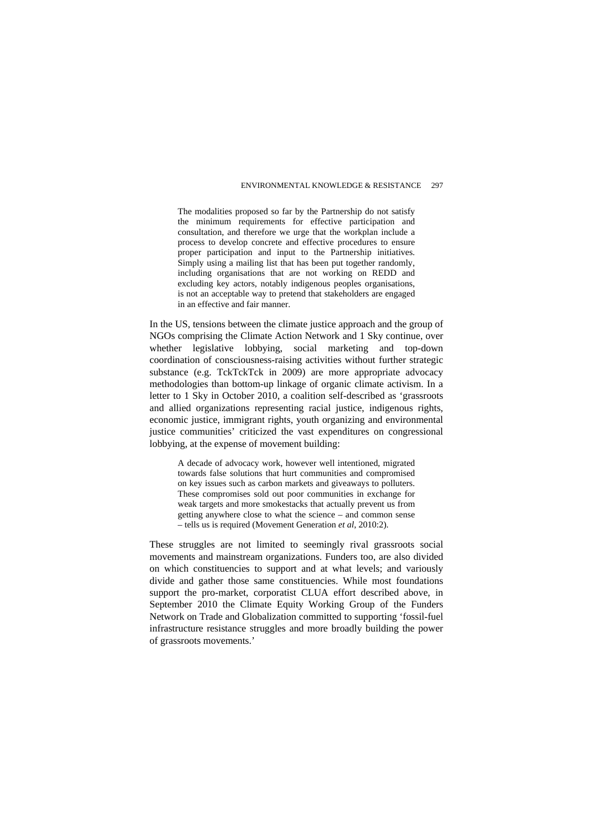The modalities proposed so far by the Partnership do not satisfy the minimum requirements for effective participation and consultation, and therefore we urge that the workplan include a process to develop concrete and effective procedures to ensure proper participation and input to the Partnership initiatives. Simply using a mailing list that has been put together randomly, including organisations that are not working on REDD and excluding key actors, notably indigenous peoples organisations, is not an acceptable way to pretend that stakeholders are engaged in an effective and fair manner.

In the US, tensions between the climate justice approach and the group of NGOs comprising the Climate Action Network and 1 Sky continue, over whether legislative lobbying, social marketing and top-down coordination of consciousness-raising activities without further strategic substance (e.g. TckTckTck in 2009) are more appropriate advocacy methodologies than bottom-up linkage of organic climate activism. In a letter to 1 Sky in October 2010, a coalition self-described as 'grassroots and allied organizations representing racial justice, indigenous rights, economic justice, immigrant rights, youth organizing and environmental justice communities' criticized the vast expenditures on congressional lobbying, at the expense of movement building:

A decade of advocacy work, however well intentioned, migrated towards false solutions that hurt communities and compromised on key issues such as carbon markets and giveaways to polluters. These compromises sold out poor communities in exchange for weak targets and more smokestacks that actually prevent us from getting anywhere close to what the science – and common sense – tells us is required (Movement Generation *et al*, 2010:2).

These struggles are not limited to seemingly rival grassroots social movements and mainstream organizations. Funders too, are also divided on which constituencies to support and at what levels; and variously divide and gather those same constituencies. While most foundations support the pro-market, corporatist CLUA effort described above, in September 2010 the Climate Equity Working Group of the Funders Network on Trade and Globalization committed to supporting 'fossil-fuel infrastructure resistance struggles and more broadly building the power of grassroots movements.'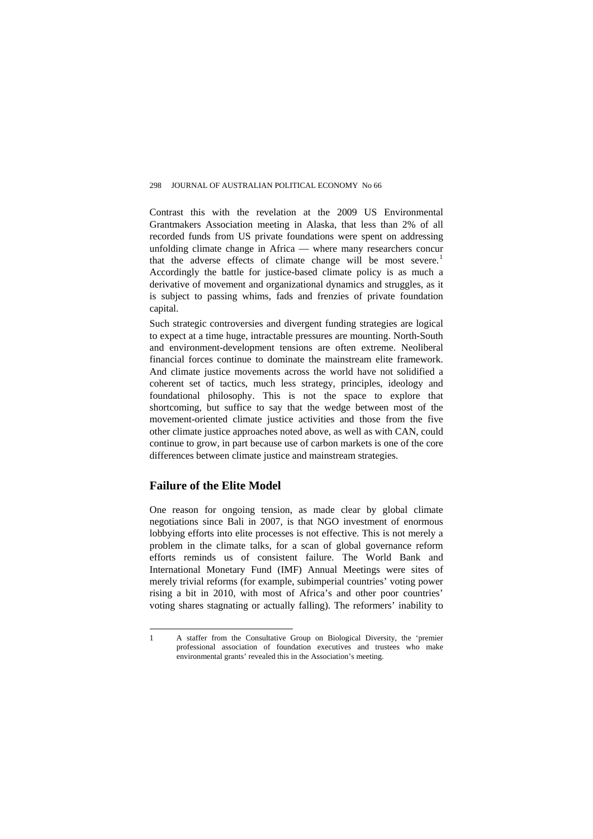Contrast this with the revelation at the 2009 US Environmental Grantmakers Association meeting in Alaska, that less than 2% of all recorded funds from US private foundations were spent on addressing unfolding climate change in Africa — where many researchers concur that the adverse effects of climate change will be most severe.<sup>[1](#page-12-0)</sup> Accordingly the battle for justice-based climate policy is as much a derivative of movement and organizational dynamics and struggles, as it is subject to passing whims, fads and frenzies of private foundation capital.

Such strategic controversies and divergent funding strategies are logical to expect at a time huge, intractable pressures are mounting. North-South and environment-development tensions are often extreme. Neoliberal financial forces continue to dominate the mainstream elite framework. And climate justice movements across the world have not solidified a coherent set of tactics, much less strategy, principles, ideology and foundational philosophy. This is not the space to explore that shortcoming, but suffice to say that the wedge between most of the movement-oriented climate justice activities and those from the five other climate justice approaches noted above, as well as with CAN, could continue to grow, in part because use of carbon markets is one of the core differences between climate justice and mainstream strategies.

## **Failure of the Elite Model**

One reason for ongoing tension, as made clear by global climate negotiations since Bali in 2007, is that NGO investment of enormous lobbying efforts into elite processes is not effective. This is not merely a problem in the climate talks, for a scan of global governance reform efforts reminds us of consistent failure. The World Bank and International Monetary Fund (IMF) Annual Meetings were sites of merely trivial reforms (for example, subimperial countries' voting power rising a bit in 2010, with most of Africa's and other poor countries' voting shares stagnating or actually falling). The reformers' inability to

<span id="page-12-0"></span> $\overline{a}$ 1 A staffer from the Consultative Group on Biological Diversity, the 'premier professional association of foundation executives and trustees who make environmental grants' revealed this in the Association's meeting.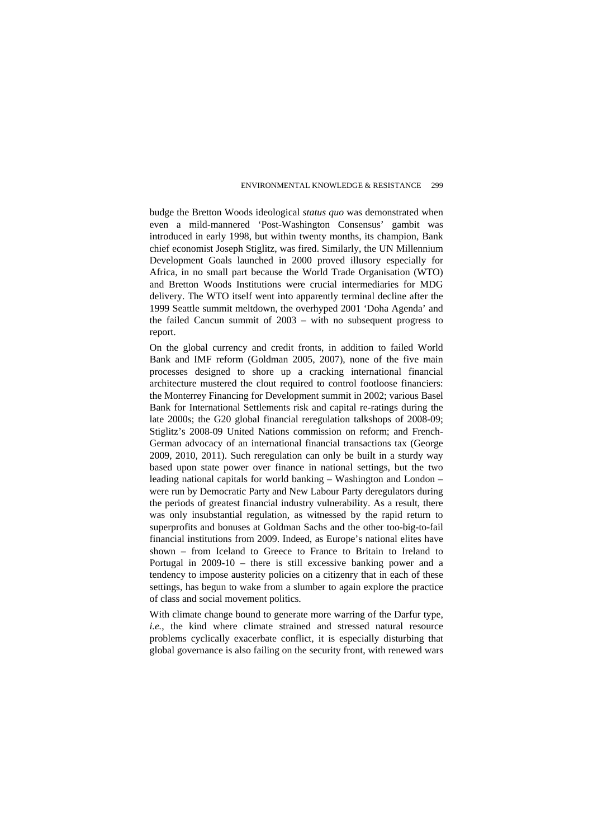budge the Bretton Woods ideological *status quo* was demonstrated when even a mild-mannered 'Post-Washington Consensus' gambit was introduced in early 1998, but within twenty months, its champion, Bank chief economist Joseph Stiglitz, was fired. Similarly, the UN Millennium Development Goals launched in 2000 proved illusory especially for Africa, in no small part because the World Trade Organisation (WTO) and Bretton Woods Institutions were crucial intermediaries for MDG delivery. The WTO itself went into apparently terminal decline after the 1999 Seattle summit meltdown, the overhyped 2001 'Doha Agenda' and the failed Cancun summit of 2003 – with no subsequent progress to report.

On the global currency and credit fronts, in addition to failed World Bank and IMF reform (Goldman 2005, 2007), none of the five main processes designed to shore up a cracking international financial architecture mustered the clout required to control footloose financiers: the Monterrey Financing for Development summit in 2002; various Basel Bank for International Settlements risk and capital re-ratings during the late 2000s; the G20 global financial reregulation talkshops of 2008-09; Stiglitz's 2008-09 United Nations commission on reform; and French-German advocacy of an international financial transactions tax (George 2009, 2010, 2011). Such reregulation can only be built in a sturdy way based upon state power over finance in national settings, but the two leading national capitals for world banking – Washington and London – were run by Democratic Party and New Labour Party deregulators during the periods of greatest financial industry vulnerability. As a result, there was only insubstantial regulation, as witnessed by the rapid return to superprofits and bonuses at Goldman Sachs and the other too-big-to-fail financial institutions from 2009. Indeed, as Europe's national elites have shown – from Iceland to Greece to France to Britain to Ireland to Portugal in 2009-10 – there is still excessive banking power and a tendency to impose austerity policies on a citizenry that in each of these settings, has begun to wake from a slumber to again explore the practice of class and social movement politics.

With climate change bound to generate more warring of the Darfur type. *i.e.*, the kind where climate strained and stressed natural resource problems cyclically exacerbate conflict, it is especially disturbing that global governance is also failing on the security front, with renewed wars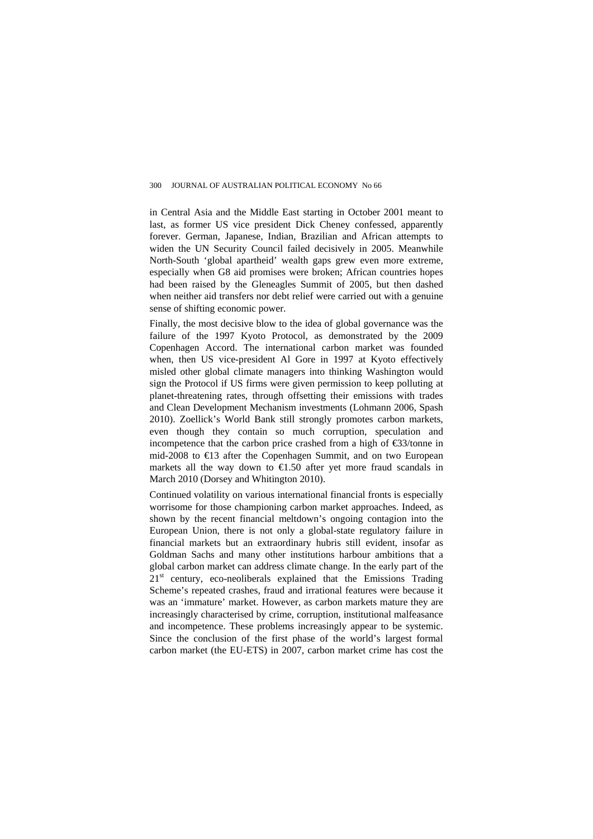in Central Asia and the Middle East starting in October 2001 meant to last, as former US vice president Dick Cheney confessed, apparently forever. German, Japanese, Indian, Brazilian and African attempts to widen the UN Security Council failed decisively in 2005. Meanwhile North-South 'global apartheid' wealth gaps grew even more extreme, especially when G8 aid promises were broken; African countries hopes had been raised by the Gleneagles Summit of 2005, but then dashed when neither aid transfers nor debt relief were carried out with a genuine sense of shifting economic power.

Finally, the most decisive blow to the idea of global governance was the failure of the 1997 Kyoto Protocol, as demonstrated by the 2009 Copenhagen Accord. The international carbon market was founded when, then US vice-president Al Gore in 1997 at Kyoto effectively misled other global climate managers into thinking Washington would sign the Protocol if US firms were given permission to keep polluting at planet-threatening rates, through offsetting their emissions with trades and Clean Development Mechanism investments (Lohmann 2006, Spash 2010). Zoellick's World Bank still strongly promotes carbon markets, even though they contain so much corruption, speculation and incompetence that the carbon price crashed from a high of  $\epsilon$ 3/tonne in mid-2008 to €13 after the Copenhagen Summit, and on two European markets all the way down to  $\in$ 1.50 after yet more fraud scandals in March 2010 (Dorsey and Whitington 2010).

Continued volatility on various international financial fronts is especially worrisome for those championing carbon market approaches. Indeed, as shown by the recent financial meltdown's ongoing contagion into the European Union, there is not only a global-state regulatory failure in financial markets but an extraordinary hubris still evident, insofar as Goldman Sachs and many other institutions harbour ambitions that a global carbon market can address climate change. In the early part of the  $21<sup>st</sup>$  century, eco-neoliberals explained that the Emissions Trading Scheme's repeated crashes, fraud and irrational features were because it was an 'immature' market. However, as carbon markets mature they are increasingly characterised by crime, corruption, institutional malfeasance and incompetence. These problems increasingly appear to be systemic. Since the conclusion of the first phase of the world's largest formal carbon market (the EU-ETS) in 2007, carbon market crime has cost the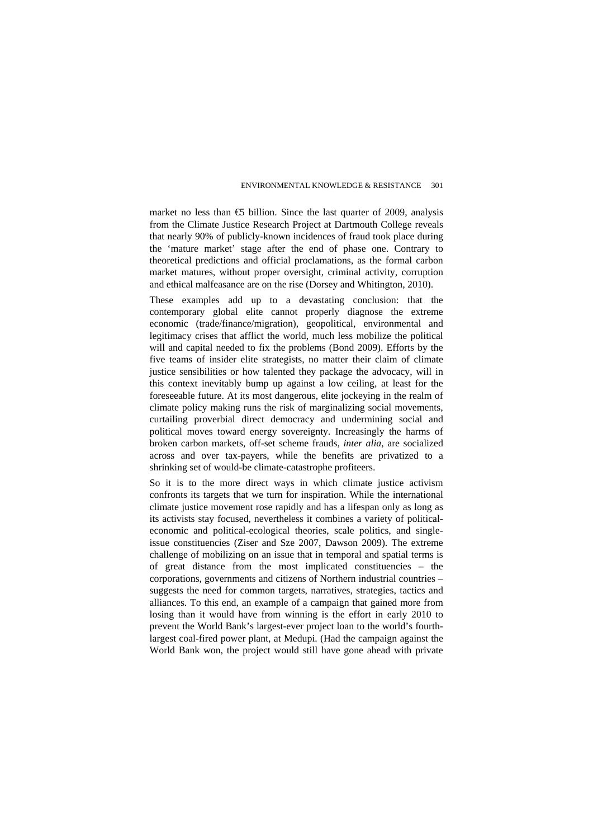market no less than  $\epsilon$ 5 billion. Since the last quarter of 2009, analysis from the Climate Justice Research Project at Dartmouth College reveals that nearly 90% of publicly-known incidences of fraud took place during the 'mature market' stage after the end of phase one. Contrary to theoretical predictions and official proclamations, as the formal carbon market matures, without proper oversight, criminal activity, corruption and ethical malfeasance are on the rise (Dorsey and Whitington, 2010).

These examples add up to a devastating conclusion: that the contemporary global elite cannot properly diagnose the extreme economic (trade/finance/migration), geopolitical, environmental and legitimacy crises that afflict the world, much less mobilize the political will and capital needed to fix the problems (Bond 2009). Efforts by the five teams of insider elite strategists, no matter their claim of climate justice sensibilities or how talented they package the advocacy, will in this context inevitably bump up against a low ceiling, at least for the foreseeable future. At its most dangerous, elite jockeying in the realm of climate policy making runs the risk of marginalizing social movements, curtailing proverbial direct democracy and undermining social and political moves toward energy sovereignty. Increasingly the harms of broken carbon markets, off-set scheme frauds, *inter alia*, are socialized across and over tax-payers, while the benefits are privatized to a shrinking set of would-be climate-catastrophe profiteers.

So it is to the more direct ways in which climate justice activism confronts its targets that we turn for inspiration. While the international climate justice movement rose rapidly and has a lifespan only as long as its activists stay focused, nevertheless it combines a variety of politicaleconomic and political-ecological theories, scale politics, and singleissue constituencies (Ziser and Sze 2007, Dawson 2009). The extreme challenge of mobilizing on an issue that in temporal and spatial terms is of great distance from the most implicated constituencies – the corporations, governments and citizens of Northern industrial countries – suggests the need for common targets, narratives, strategies, tactics and alliances. To this end, an example of a campaign that gained more from losing than it would have from winning is the effort in early 2010 to prevent the World Bank's largest-ever project loan to the world's fourthlargest coal-fired power plant, at Medupi. (Had the campaign against the World Bank won, the project would still have gone ahead with private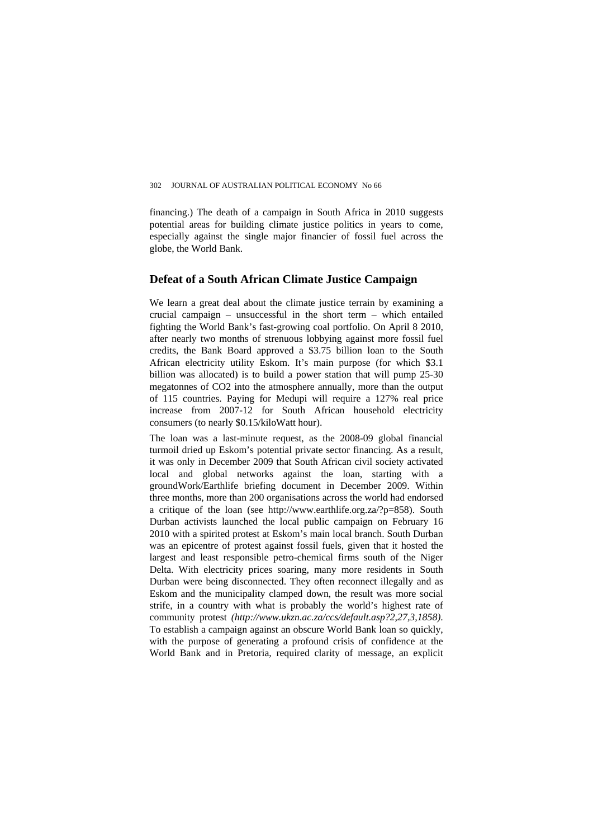financing.) The death of a campaign in South Africa in 2010 suggests potential areas for building climate justice politics in years to come, especially against the single major financier of fossil fuel across the globe, the World Bank.

## **Defeat of a South African Climate Justice Campaign**

We learn a great deal about the climate justice terrain by examining a crucial campaign – unsuccessful in the short term – which entailed fighting the World Bank's fast-growing coal portfolio. On April 8 2010, after nearly two months of strenuous lobbying against more fossil fuel credits, the Bank Board approved a \$3.75 billion loan to the South African electricity utility Eskom. It's main purpose (for which \$3.1 billion was allocated) is to build a power station that will pump 25-30 megatonnes of CO2 into the atmosphere annually, more than the output of 115 countries. Paying for Medupi will require a 127% real price increase from 2007-12 for South African household electricity consumers (to nearly \$0.15/kiloWatt hour).

The loan was a last-minute request, as the 2008-09 global financial turmoil dried up Eskom's potential private sector financing. As a result, it was only in December 2009 that South African civil society activated local and global networks against the loan, starting with a groundWork/Earthlife briefing document in December 2009. Within three months, more than 200 organisations across the world had endorsed a critique of the loan (see [http://www.earthlife.org.za/?p=858\)](http://www.earthlife.org.za/?p=858). South Durban activists launched the local public campaign on February 16 2010 with a spirited protest at Eskom's main local branch. South Durban was an epicentre of protest against fossil fuels, given that it hosted the largest and least responsible petro-chemical firms south of the Niger Delta. With electricity prices soaring, many more residents in South Durban were being disconnected. They often reconnect illegally and as Eskom and the municipality clamped down, the result was more social strife, in a country with what is probably the world's highest rate of community protest *(<http://www.ukzn.ac.za/ccs/default.asp?2,27,3,1858>)*. To establish a campaign against an obscure World Bank loan so quickly, with the purpose of generating a profound crisis of confidence at the World Bank and in Pretoria, required clarity of message, an explicit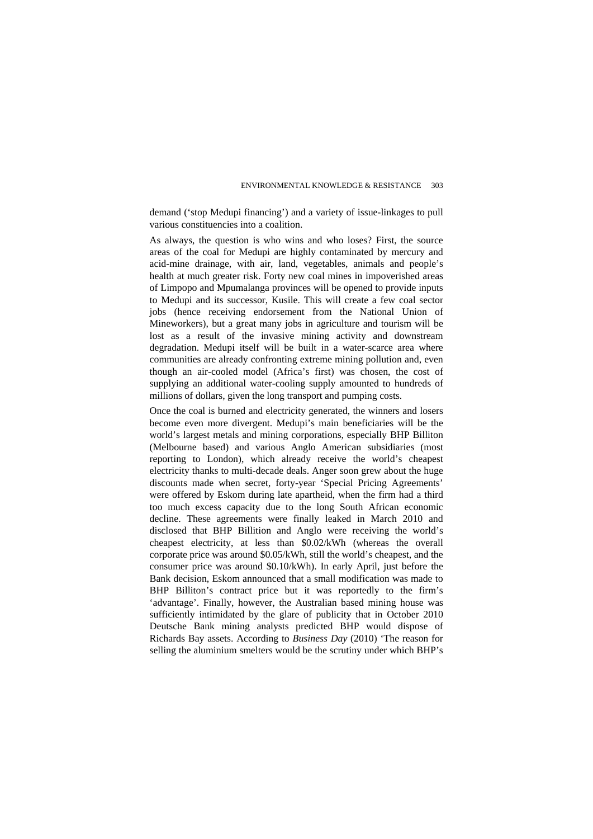demand ('stop Medupi financing') and a variety of issue-linkages to pull various constituencies into a coalition.

As always, the question is who wins and who loses? First, the source areas of the coal for Medupi are highly contaminated by mercury and acid-mine drainage, with air, land, vegetables, animals and people's health at much greater risk. Forty new coal mines in impoverished areas of Limpopo and Mpumalanga provinces will be opened to provide inputs to Medupi and its successor, Kusile. This will create a few coal sector jobs (hence receiving endorsement from the National Union of Mineworkers), but a great many jobs in agriculture and tourism will be lost as a result of the invasive mining activity and downstream degradation. Medupi itself will be built in a water-scarce area where communities are already confronting extreme mining pollution and, even though an air-cooled model (Africa's first) was chosen, the cost of supplying an additional water-cooling supply amounted to hundreds of millions of dollars, given the long transport and pumping costs.

Once the coal is burned and electricity generated, the winners and losers become even more divergent. Medupi's main beneficiaries will be the world's largest metals and mining corporations, especially BHP Billiton (Melbourne based) and various Anglo American subsidiaries (most reporting to London), which already receive the world's cheapest electricity thanks to multi-decade deals. Anger soon grew about the huge discounts made when secret, forty-year 'Special Pricing Agreements' were offered by Eskom during late apartheid, when the firm had a third too much excess capacity due to the long South African economic decline. These agreements were finally leaked in March 2010 and disclosed that BHP Billition and Anglo were receiving the world's cheapest electricity, at less than \$0.02/kWh (whereas the overall corporate price was around \$0.05/kWh, still the world's cheapest, and the consumer price was around \$0.10/kWh). In early April, just before the Bank decision, Eskom announced that a small modification was made to BHP Billiton's contract price but it was reportedly to the firm's 'advantage'. Finally, however, the Australian based mining house was sufficiently intimidated by the glare of publicity that in October 2010 Deutsche Bank mining analysts predicted BHP would dispose of Richards Bay assets. According to *Business Day* (2010) 'The reason for selling the aluminium smelters would be the scrutiny under which BHP's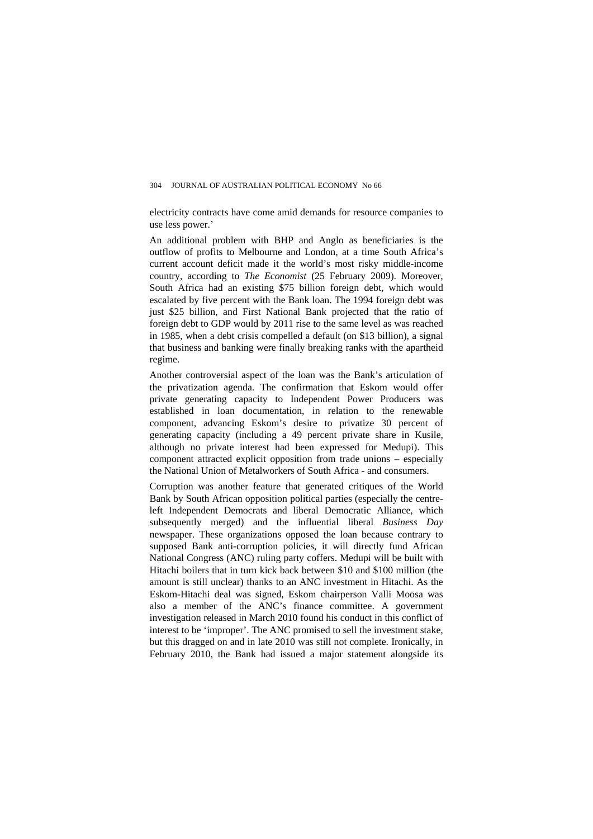electricity contracts have come amid demands for resource companies to use less power.'

An additional problem with BHP and Anglo as beneficiaries is the outflow of profits to Melbourne and London, at a time South Africa's current account deficit made it the world's most risky middle-income country, according to *The Economist* (25 February 2009). Moreover, South Africa had an existing \$75 billion foreign debt, which would escalated by five percent with the Bank loan. The 1994 foreign debt was just \$25 billion, and First National Bank projected that the ratio of foreign debt to GDP would by 2011 rise to the same level as was reached in 1985, when a debt crisis compelled a default (on \$13 billion), a signal that business and banking were finally breaking ranks with the apartheid regime.

Another controversial aspect of the loan was the Bank's articulation of the privatization agenda. The confirmation that Eskom would offer private generating capacity to Independent Power Producers was established in loan documentation, in relation to the renewable component, advancing Eskom's desire to privatize 30 percent of generating capacity (including a 49 percent private share in Kusile, although no private interest had been expressed for Medupi). This component attracted explicit opposition from trade unions – especially the National Union of Metalworkers of South Africa - and consumers.

Corruption was another feature that generated critiques of the World Bank by South African opposition political parties (especially the centreleft Independent Democrats and liberal Democratic Alliance, which subsequently merged) and the influential liberal *Business Day*  newspaper. These organizations opposed the loan because contrary to supposed Bank anti-corruption policies, it will directly fund African National Congress (ANC) ruling party coffers. Medupi will be built with Hitachi boilers that in turn kick back between \$10 and \$100 million (the amount is still unclear) thanks to an ANC investment in Hitachi. As the Eskom-Hitachi deal was signed, Eskom chairperson Valli Moosa was also a member of the ANC's finance committee. A government investigation released in March 2010 found his conduct in this conflict of interest to be 'improper'. The ANC promised to sell the investment stake, but this dragged on and in late 2010 was still not complete. Ironically, in February 2010, the Bank had issued a major statement alongside its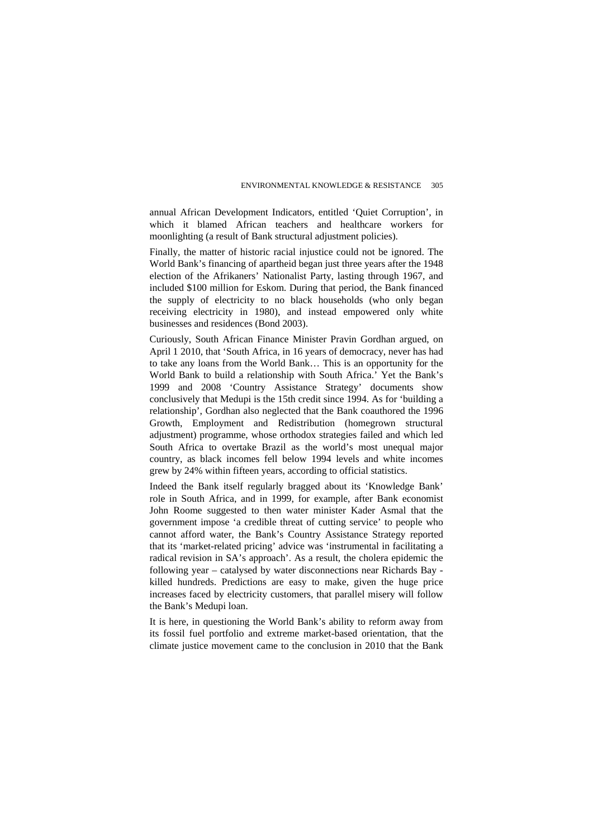annual African Development Indicators, entitled 'Quiet Corruption', in which it blamed African teachers and healthcare workers for moonlighting (a result of Bank structural adjustment policies).

Finally, the matter of historic racial injustice could not be ignored. The World Bank's financing of apartheid began just three years after the 1948 election of the Afrikaners' Nationalist Party, lasting through 1967, and included \$100 million for Eskom. During that period, the Bank financed the supply of electricity to no black households (who only began receiving electricity in 1980), and instead empowered only white businesses and residences (Bond 2003).

Curiously, South African Finance Minister Pravin Gordhan argued, on April 1 2010, that 'South Africa, in 16 years of democracy, never has had to take any loans from the World Bank… This is an opportunity for the World Bank to build a relationship with South Africa.' Yet the Bank's 1999 and 2008 'Country Assistance Strategy' documents show conclusively that Medupi is the 15th credit since 1994. As for 'building a relationship', Gordhan also neglected that the Bank coauthored the 1996 Growth, Employment and Redistribution (homegrown structural adjustment) programme, whose orthodox strategies failed and which led South Africa to overtake Brazil as the world's most unequal major country, as black incomes fell below 1994 levels and white incomes grew by 24% within fifteen years, according to official statistics.

Indeed the Bank itself regularly bragged about its 'Knowledge Bank' role in South Africa, and in 1999, for example, after Bank economist John Roome suggested to then water minister Kader Asmal that the government impose 'a credible threat of cutting service' to people who cannot afford water, the Bank's Country Assistance Strategy reported that its 'market-related pricing' advice was 'instrumental in facilitating a radical revision in SA's approach'. As a result, the cholera epidemic the following year – catalysed by water disconnections near Richards Bay killed hundreds. Predictions are easy to make, given the huge price increases faced by electricity customers, that parallel misery will follow the Bank's Medupi loan.

It is here, in questioning the World Bank's ability to reform away from its fossil fuel portfolio and extreme market-based orientation, that the climate justice movement came to the conclusion in 2010 that the Bank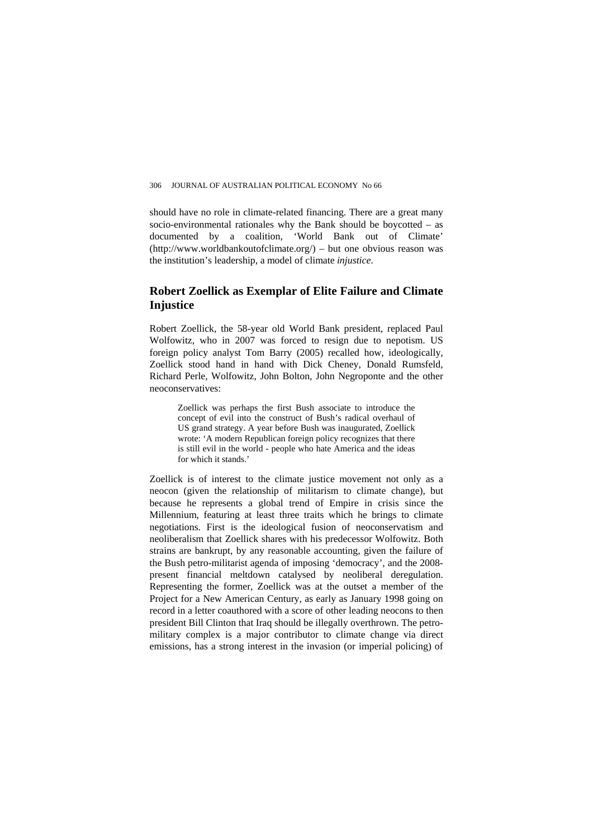should have no role in climate-related financing. There are a great many socio-environmental rationales why the Bank should be boycotted – as documented by a coalition, 'World Bank out of Climate' (http://www.worldbankoutofclimate.org/) – but one obvious reason was the institution's leadership, a model of climate *injustice*.

# **Robert Zoellick as Exemplar of Elite Failure and Climate Injustice**

Robert Zoellick, the 58-year old World Bank president, replaced Paul Wolfowitz, who in 2007 was forced to resign due to nepotism. US foreign policy analyst Tom Barry (2005) recalled how, ideologically, Zoellick stood hand in hand with Dick Cheney, Donald Rumsfeld, Richard Perle, Wolfowitz, John Bolton, John Negroponte and the other neoconservatives:

Zoellick was perhaps the first Bush associate to introduce the concept of evil into the construct of Bush's radical overhaul of US grand strategy. A year before Bush was inaugurated, Zoellick wrote: 'A modern Republican foreign policy recognizes that there is still evil in the world - people who hate America and the ideas for which it stands.'

Zoellick is of interest to the climate justice movement not only as a neocon (given the relationship of militarism to climate change), but because he represents a global trend of Empire in crisis since the Millennium, featuring at least three traits which he brings to climate negotiations. First is the ideological fusion of neoconservatism and neoliberalism that Zoellick shares with his predecessor Wolfowitz. Both strains are bankrupt, by any reasonable accounting, given the failure of the Bush petro-militarist agenda of imposing 'democracy', and the 2008 present financial meltdown catalysed by neoliberal deregulation. Representing the former, Zoellick was at the outset a member of the Project for a New American Century, as early as January 1998 going on record in a letter coauthored with a score of other leading neocons to then president Bill Clinton that Iraq should be illegally overthrown. The petromilitary complex is a major contributor to climate change via direct emissions, has a strong interest in the invasion (or imperial policing) of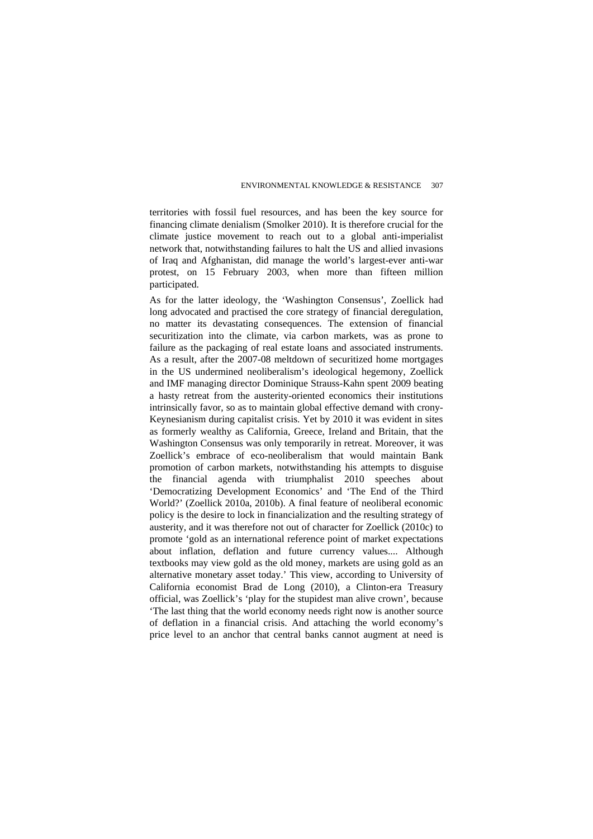territories with fossil fuel resources, and has been the key source for financing climate denialism (Smolker 2010). It is therefore crucial for the climate justice movement to reach out to a global anti-imperialist network that, notwithstanding failures to halt the US and allied invasions of Iraq and Afghanistan, did manage the world's largest-ever anti-war protest, on 15 February 2003, when more than fifteen million participated.

As for the latter ideology, the 'Washington Consensus', Zoellick had long advocated and practised the core strategy of financial deregulation, no matter its devastating consequences. The extension of financial securitization into the climate, via carbon markets, was as prone to failure as the packaging of real estate loans and associated instruments. As a result, after the 2007-08 meltdown of securitized home mortgages in the US undermined neoliberalism's ideological hegemony, Zoellick and IMF managing director Dominique Strauss-Kahn spent 2009 beating a hasty retreat from the austerity-oriented economics their institutions intrinsically favor, so as to maintain global effective demand with crony-Keynesianism during capitalist crisis. Yet by 2010 it was evident in sites as formerly wealthy as California, Greece, Ireland and Britain, that the Washington Consensus was only temporarily in retreat. Moreover, it was Zoellick's embrace of eco-neoliberalism that would maintain Bank promotion of carbon markets, notwithstanding his attempts to disguise the financial agenda with triumphalist 2010 speeches about 'Democratizing Development Economics' and 'The End of the Third World?' (Zoellick 2010a, 2010b). A final feature of neoliberal economic policy is the desire to lock in financialization and the resulting strategy of austerity, and it was therefore not out of character for Zoellick (2010c) to promote 'gold as an international reference point of market expectations about inflation, deflation and future currency values.... Although textbooks may view gold as the old money, markets are using gold as an alternative monetary asset today.' This view, according to University of California economist Brad de Long (2010), a Clinton-era Treasury official, was Zoellick's 'play for the stupidest man alive crown', because 'The last thing that the world economy needs right now is another source of deflation in a financial crisis. And attaching the world economy's price level to an anchor that central banks cannot augment at need is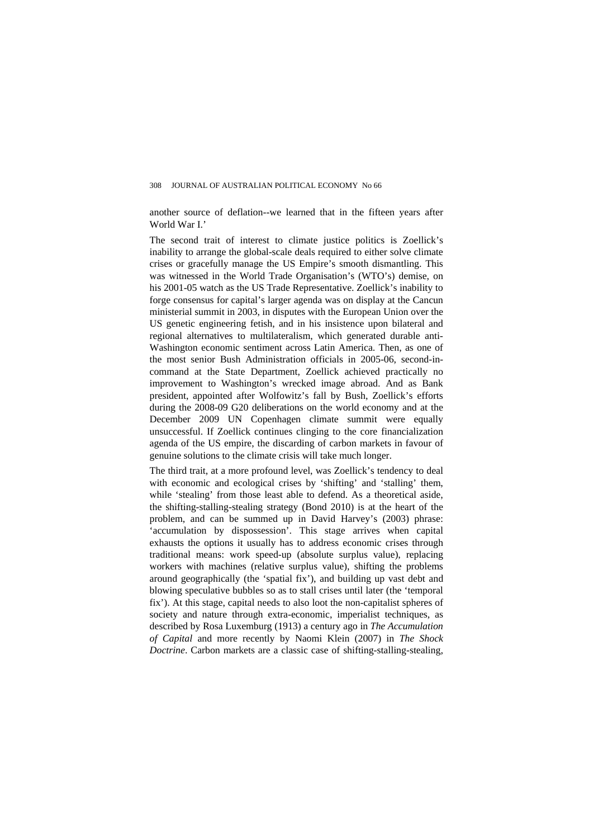another source of deflation--we learned that in the fifteen years after World War I<sup>'</sup>

The second trait of interest to climate justice politics is Zoellick's inability to arrange the global-scale deals required to either solve climate crises or gracefully manage the US Empire's smooth dismantling. This was witnessed in the World Trade Organisation's (WTO's) demise, on his 2001-05 watch as the US Trade Representative. Zoellick's inability to forge consensus for capital's larger agenda was on display at the Cancun ministerial summit in 2003, in disputes with the European Union over the US genetic engineering fetish, and in his insistence upon bilateral and regional alternatives to multilateralism, which generated durable anti-Washington economic sentiment across Latin America. Then, as one of the most senior Bush Administration officials in 2005-06, second-incommand at the State Department, Zoellick achieved practically no improvement to Washington's wrecked image abroad. And as Bank president, appointed after Wolfowitz's fall by Bush, Zoellick's efforts during the 2008-09 G20 deliberations on the world economy and at the December 2009 UN Copenhagen climate summit were equally unsuccessful. If Zoellick continues clinging to the core financialization agenda of the US empire, the discarding of carbon markets in favour of genuine solutions to the climate crisis will take much longer.

The third trait, at a more profound level, was Zoellick's tendency to deal with economic and ecological crises by 'shifting' and 'stalling' them, while 'stealing' from those least able to defend. As a theoretical aside, the shifting-stalling-stealing strategy (Bond 2010) is at the heart of the problem, and can be summed up in David Harvey's (2003) phrase: 'accumulation by dispossession'. This stage arrives when capital exhausts the options it usually has to address economic crises through traditional means: work speed-up (absolute surplus value), replacing workers with machines (relative surplus value), shifting the problems around geographically (the 'spatial fix'), and building up vast debt and blowing speculative bubbles so as to stall crises until later (the 'temporal fix'). At this stage, capital needs to also loot the non-capitalist spheres of society and nature through extra-economic, imperialist techniques, as described by Rosa Luxemburg (1913) a century ago in *The Accumulation of Capital* and more recently by Naomi Klein (2007) in *The Shock Doctrine*. Carbon markets are a classic case of shifting-stalling-stealing,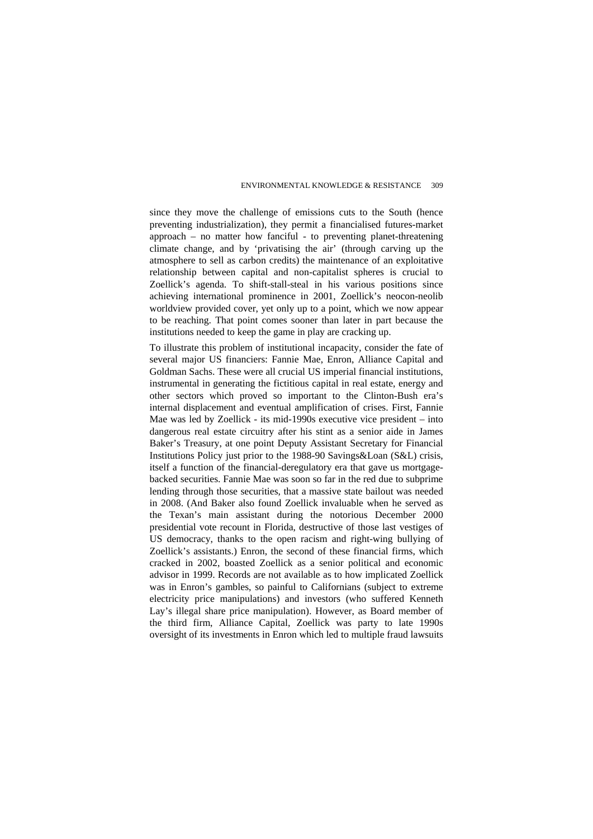since they move the challenge of emissions cuts to the South (hence preventing industrialization), they permit a financialised futures-market approach – no matter how fanciful - to preventing planet-threatening climate change, and by 'privatising the air' (through carving up the atmosphere to sell as carbon credits) the maintenance of an exploitative relationship between capital and non-capitalist spheres is crucial to Zoellick's agenda. To shift-stall-steal in his various positions since achieving international prominence in 2001, Zoellick's neocon-neolib worldview provided cover, yet only up to a point, which we now appear to be reaching. That point comes sooner than later in part because the institutions needed to keep the game in play are cracking up.

To illustrate this problem of institutional incapacity, consider the fate of several major US financiers: Fannie Mae, Enron, Alliance Capital and Goldman Sachs. These were all crucial US imperial financial institutions, instrumental in generating the fictitious capital in real estate, energy and other sectors which proved so important to the Clinton-Bush era's internal displacement and eventual amplification of crises. First, Fannie Mae was led by Zoellick - its mid-1990s executive vice president – into dangerous real estate circuitry after his stint as a senior aide in James Baker's Treasury, at one point Deputy Assistant Secretary for Financial Institutions Policy just prior to the 1988-90 Savings&Loan (S&L) crisis, itself a function of the financial-deregulatory era that gave us mortgagebacked securities. Fannie Mae was soon so far in the red due to subprime lending through those securities, that a massive state bailout was needed in 2008. (And Baker also found Zoellick invaluable when he served as the Texan's main assistant during the notorious December 2000 presidential vote recount in Florida, destructive of those last vestiges of US democracy, thanks to the open racism and right-wing bullying of Zoellick's assistants.) Enron, the second of these financial firms, which cracked in 2002, boasted Zoellick as a senior political and economic advisor in 1999. Records are not available as to how implicated Zoellick was in Enron's gambles, so painful to Californians (subject to extreme electricity price manipulations) and investors (who suffered Kenneth Lay's illegal share price manipulation). However, as Board member of the third firm, Alliance Capital, Zoellick was party to late 1990s oversight of its investments in Enron which led to multiple fraud lawsuits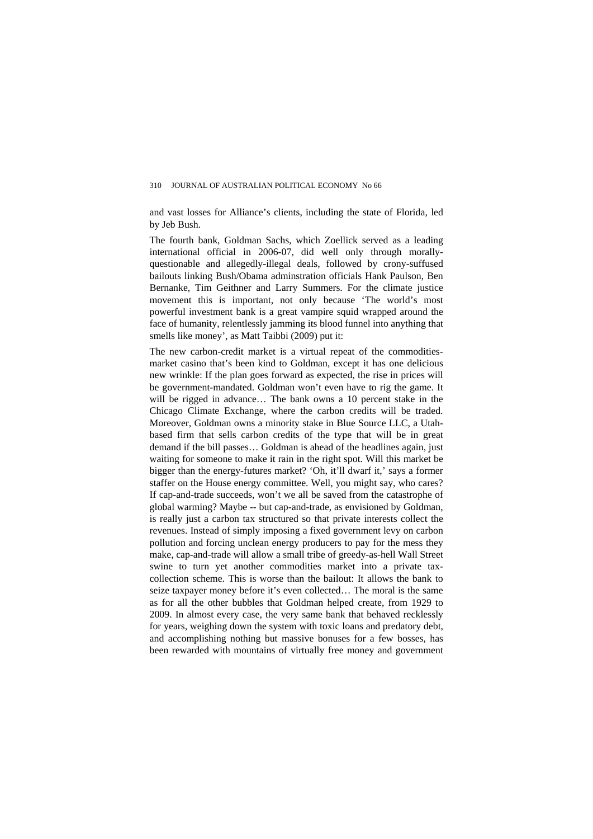and vast losses for Alliance's clients, including the state of Florida, led by Jeb Bush.

The fourth bank, Goldman Sachs, which Zoellick served as a leading international official in 2006-07, did well only through morallyquestionable and allegedly-illegal deals, followed by crony-suffused bailouts linking Bush/Obama adminstration officials Hank Paulson, Ben Bernanke, Tim Geithner and Larry Summers. For the climate justice movement this is important, not only because 'The world's most powerful investment bank is a great vampire squid wrapped around the face of humanity, relentlessly jamming its blood funnel into anything that smells like money', as Matt Taibbi (2009) put it:

The new carbon-credit market is a virtual repeat of the commoditiesmarket casino that's been kind to Goldman, except it has one delicious new wrinkle: If the plan goes forward as expected, the rise in prices will be government-mandated. Goldman won't even have to rig the game. It will be rigged in advance… The bank owns a 10 percent stake in the Chicago Climate Exchange, where the carbon credits will be traded. Moreover, Goldman owns a minority stake in Blue Source LLC, a Utahbased firm that sells carbon credits of the type that will be in great demand if the bill passes… Goldman is ahead of the headlines again, just waiting for someone to make it rain in the right spot. Will this market be bigger than the energy-futures market? 'Oh, it'll dwarf it,' says a former staffer on the House energy committee. Well, you might say, who cares? If cap-and-trade succeeds, won't we all be saved from the catastrophe of global warming? Maybe -- but cap-and-trade, as envisioned by Goldman, is really just a carbon tax structured so that private interests collect the revenues. Instead of simply imposing a fixed government levy on carbon pollution and forcing unclean energy producers to pay for the mess they make, cap-and-trade will allow a small tribe of greedy-as-hell Wall Street swine to turn yet another commodities market into a private taxcollection scheme. This is worse than the bailout: It allows the bank to seize taxpayer money before it's even collected… The moral is the same as for all the other bubbles that Goldman helped create, from 1929 to 2009. In almost every case, the very same bank that behaved recklessly for years, weighing down the system with toxic loans and predatory debt, and accomplishing nothing but massive bonuses for a few bosses, has been rewarded with mountains of virtually free money and government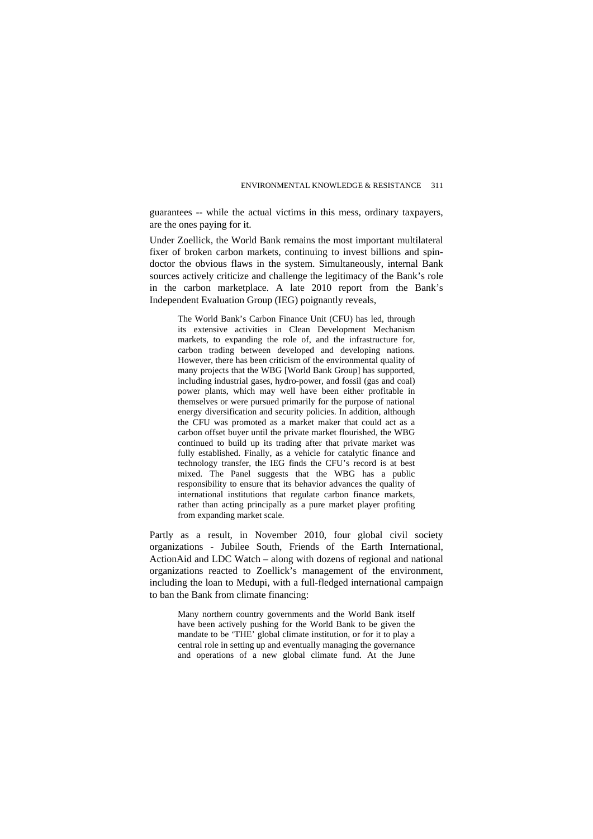guarantees -- while the actual victims in this mess, ordinary taxpayers, are the ones paying for it.

Under Zoellick, the World Bank remains the most important multilateral fixer of broken carbon markets, continuing to invest billions and spindoctor the obvious flaws in the system. Simultaneously, internal Bank sources actively criticize and challenge the legitimacy of the Bank's role in the carbon marketplace. A late 2010 report from the Bank's Independent Evaluation Group (IEG) poignantly reveals,

The World Bank's Carbon Finance Unit (CFU) has led, through its extensive activities in Clean Development Mechanism markets, to expanding the role of, and the infrastructure for, carbon trading between developed and developing nations. However, there has been criticism of the environmental quality of many projects that the WBG [World Bank Group] has supported, including industrial gases, hydro-power, and fossil (gas and coal) power plants, which may well have been either profitable in themselves or were pursued primarily for the purpose of national energy diversification and security policies. In addition, although the CFU was promoted as a market maker that could act as a carbon offset buyer until the private market flourished, the WBG continued to build up its trading after that private market was fully established. Finally, as a vehicle for catalytic finance and technology transfer, the IEG finds the CFU's record is at best mixed. The Panel suggests that the WBG has a public responsibility to ensure that its behavior advances the quality of international institutions that regulate carbon finance markets, rather than acting principally as a pure market player profiting from expanding market scale.

Partly as a result, in November 2010, four global civil society organizations - Jubilee South, Friends of the Earth International, ActionAid and LDC Watch – along with dozens of regional and national organizations reacted to Zoellick's management of the environment, including the loan to Medupi, with a full-fledged international campaign to ban the Bank from climate financing:

Many northern country governments and the World Bank itself have been actively pushing for the World Bank to be given the mandate to be 'THE' global climate institution, or for it to play a central role in setting up and eventually managing the governance and operations of a new global climate fund. At the June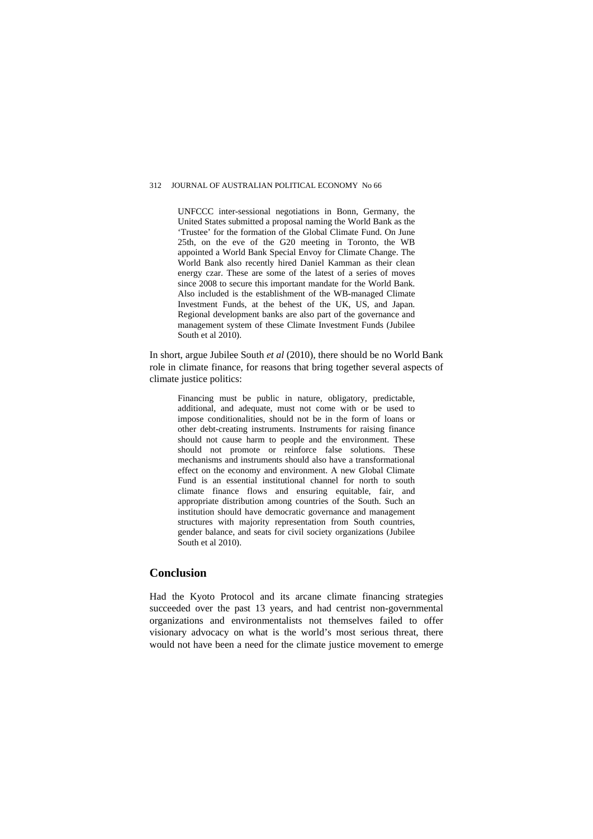#### 312 **JOURNAL OF AUSTRALIAN POLITICAL ECONOMY No 66**

UNFCCC inter-sessional negotiations in Bonn, Germany, the United States submitted a proposal naming the World Bank as the 'Trustee' for the formation of the Global Climate Fund. On June 25th, on the eve of the G20 meeting in Toronto, the WB appointed a World Bank Special Envoy for Climate Change. The World Bank also recently hired Daniel Kamman as their clean energy czar. These are some of the latest of a series of moves since 2008 to secure this important mandate for the World Bank. Also included is the establishment of the WB-managed Climate Investment Funds, at the behest of the UK, US, and Japan. Regional development banks are also part of the governance and management system of these Climate Investment Funds (Jubilee South et al 2010).

In short, argue Jubilee South *et al* (2010), there should be no World Bank role in climate finance, for reasons that bring together several aspects of climate justice politics:

Financing must be public in nature, obligatory, predictable, additional, and adequate, must not come with or be used to impose conditionalities, should not be in the form of loans or other debt-creating instruments. Instruments for raising finance should not cause harm to people and the environment. These should not promote or reinforce false solutions. These mechanisms and instruments should also have a transformational effect on the economy and environment. A new Global Climate Fund is an essential institutional channel for north to south climate finance flows and ensuring equitable, fair, and appropriate distribution among countries of the South. Such an institution should have democratic governance and management structures with majority representation from South countries, gender balance, and seats for civil society organizations (Jubilee South et al 2010).

### **Conclusion**

Had the Kyoto Protocol and its arcane climate financing strategies succeeded over the past 13 years, and had centrist non-governmental organizations and environmentalists not themselves failed to offer visionary advocacy on what is the world's most serious threat, there would not have been a need for the climate justice movement to emerge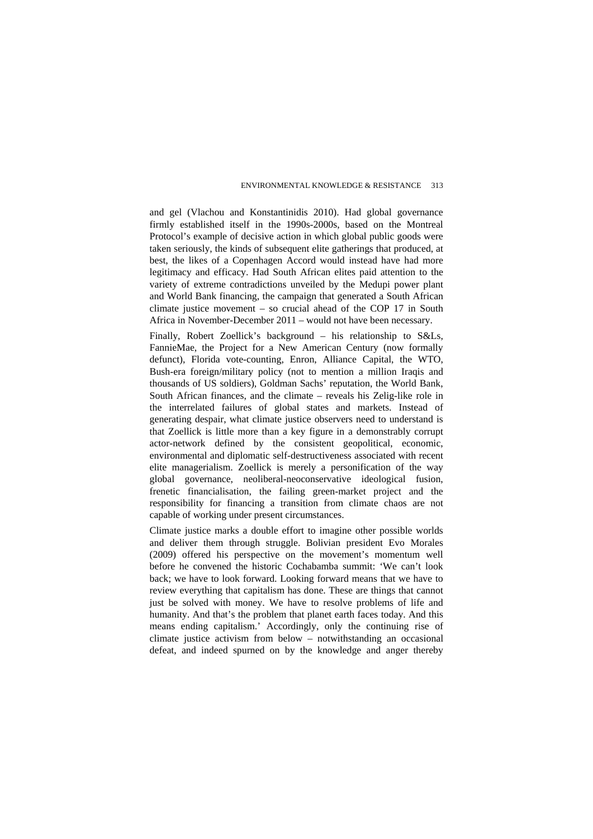and gel (Vlachou and Konstantinidis 2010). Had global governance firmly established itself in the 1990s-2000s, based on the Montreal Protocol's example of decisive action in which global public goods were taken seriously, the kinds of subsequent elite gatherings that produced, at best, the likes of a Copenhagen Accord would instead have had more legitimacy and efficacy. Had South African elites paid attention to the variety of extreme contradictions unveiled by the Medupi power plant and World Bank financing, the campaign that generated a South African climate justice movement – so crucial ahead of the COP 17 in South Africa in November-December 2011 – would not have been necessary.

Finally, Robert Zoellick's background – his relationship to S&Ls, FannieMae, the Project for a New American Century (now formally defunct), Florida vote-counting, Enron, Alliance Capital, the WTO, Bush-era foreign/military policy (not to mention a million Iraqis and thousands of US soldiers), Goldman Sachs' reputation, the World Bank, South African finances, and the climate – reveals his Zelig-like role in the interrelated failures of global states and markets. Instead of generating despair, what climate justice observers need to understand is that Zoellick is little more than a key figure in a demonstrably corrupt actor-network defined by the consistent geopolitical, economic, environmental and diplomatic self-destructiveness associated with recent elite managerialism. Zoellick is merely a personification of the way global governance, neoliberal-neoconservative ideological fusion, frenetic financialisation, the failing green-market project and the responsibility for financing a transition from climate chaos are not capable of working under present circumstances.

Climate justice marks a double effort to imagine other possible worlds and deliver them through struggle. Bolivian president Evo Morales (2009) offered his perspective on the movement's momentum well before he convened the historic Cochabamba summit: 'We can't look back; we have to look forward. Looking forward means that we have to review everything that capitalism has done. These are things that cannot just be solved with money. We have to resolve problems of life and humanity. And that's the problem that planet earth faces today. And this means ending capitalism.' Accordingly, only the continuing rise of climate justice activism from below – notwithstanding an occasional defeat, and indeed spurned on by the knowledge and anger thereby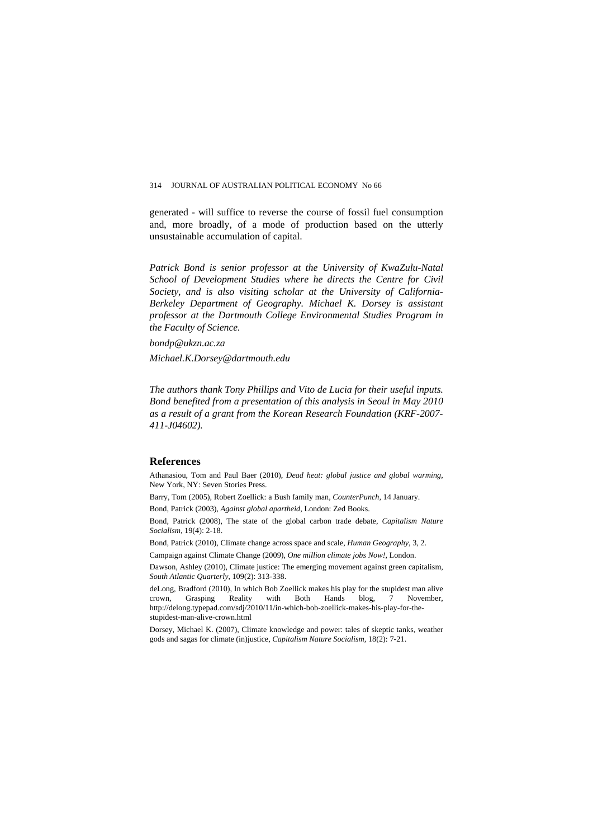generated - will suffice to reverse the course of fossil fuel consumption and, more broadly, of a mode of production based on the utterly unsustainable accumulation of capital.

*Patrick Bond is senior professor at the University of KwaZulu-Natal School of Development Studies where he directs the Centre for Civil Society, and is also visiting scholar at the University of California-Berkeley Department of Geography. Michael K. Dorsey is assistant professor at the Dartmouth College Environmental Studies Program in the Faculty of Science.* 

*bondp@ukzn.ac.za* 

*Michael.K.Dorsey@dartmouth.edu* 

*The authors thank Tony Phillips and Vito de Lucia for their useful inputs. Bond benefited from a presentation of this analysis in Seoul in May 2010 as a result of a grant from the Korean Research Foundation (KRF-2007- 411-J04602).* 

#### **References**

Athanasiou, Tom and Paul Baer (2010), *Dead heat: global justice and global warming*, New York, NY: Seven Stories Press.

Barry, Tom (2005), Robert Zoellick: a Bush family man, *CounterPunch*, 14 January.

Bond, Patrick (2003), *Against global apartheid,* London: Zed Books.

Bond, Patrick (2008), The state of the global carbon trade debate, *Capitalism Nature Socialism,* 19(4): 2-18.

Bond, Patrick (2010), Climate change across space and scale, *Human Geography,* 3, 2.

Campaign against Climate Change (2009), *One million climate jobs Now!,* London.

Dawson, Ashley (2010), Climate justice: The emerging movement against green capitalism, *[South Atlantic Quarterly](http://www.dukeupress.edu/Catalog/ViewProduct.php?productid=45629)*, 109(2): 313-338.

deLong, Bradford (2010), In which Bob Zoellick makes his play for the stupidest man alive crown, Grasping Reality with Both Hands blog, 7 November, http://delong.typepad.com/sdj/2010/11/in-which-bob-zoellick-makes-his-play-for-thestupidest-man-alive-crown.html

Dorsey, Michael K. (2007), Climate knowledge and power: tales of skeptic tanks, weather gods and sagas for climate (in)justice, *Capitalism Nature Socialism,* 18(2): 7-21.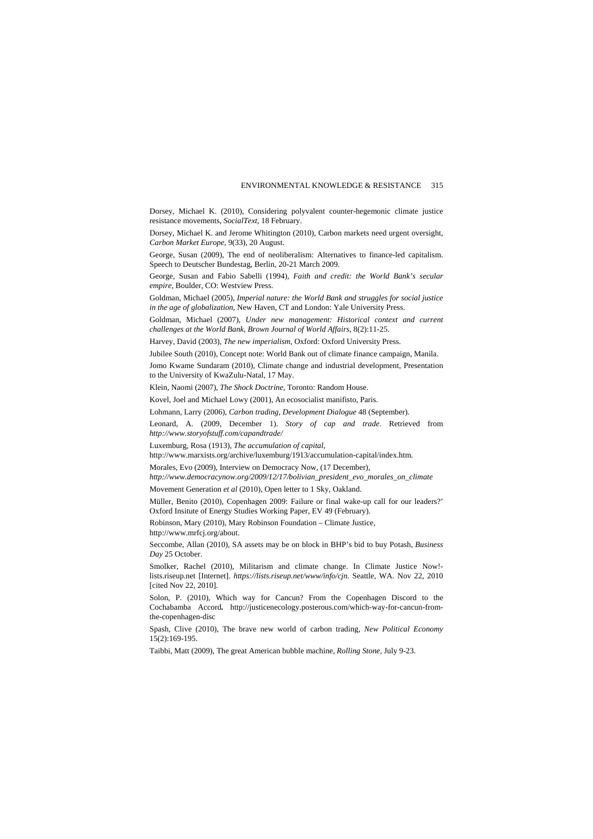Dorsey, Michael K. (2010), Considering polyvalent counter-hegemonic climate justice resistance movements, *SocialText,* 18 February.

Dorsey, Michael K. and Jerome Whitington (2010), Carbon markets need urgent oversight, *Carbon Market Europe*, 9(33), 20 August.

George, Susan (2009), The end of neoliberalism: Alternatives to finance-led capitalism. Speech to Deutscher Bundestag, Berlin, 20-21 March 2009.

George, Susan and Fabio Sabelli (1994), *Faith and credit: the World Bank's secular empire,* Boulder, CO: Westview Press.

Goldman, Michael (2005), *[Imperial nature: the World Bank and struggles for social justice](http://yalepress.yale.edu/yupbooks/book.asp?isbn=0300104081)  [in the age of globalization](http://yalepress.yale.edu/yupbooks/book.asp?isbn=0300104081)*, New Haven, CT and London: Yale University Press.

Goldman, Michael (2007), *[Under new management: Historical context and current](http://www.bjwa.org/article.php?id=Qoy2uYWvohy1r2YA7d0WNdKP1ZIVF5pXCbU4FsWp)  [challenges at the World Bank](http://www.bjwa.org/article.php?id=Qoy2uYWvohy1r2YA7d0WNdKP1ZIVF5pXCbU4FsWp)*, *Brown Journal of World Affairs*, 8(2):11-25.

Harvey, David (2003), *The new imperialism,* Oxford: Oxford University Press.

Jubilee South (2010), Concept note: World Bank out of climate finance campaign, Manila.

Jomo Kwame Sundaram (2010), Climate change and industrial development, Presentation to the University of KwaZulu-Natal, 17 May.

Klein, Naomi (2007), *The Shock Doctrine,* Toronto: Random House.

Kovel, Joel and Michael Lowy (2001), An ecosocialist manifisto, Paris.

Lohmann, Larry (2006), *Carbon trading, Development Dialogue* 48 (September).

Leonard, A. (2009, December 1). *Story of cap and trade*. Retrieved from *<http://www.storyofstuff.com/capandtrade/>*

Luxemburg, Rosa (1913), *The accumulation of capital,* 

http://www.marxists.org/archive/luxemburg/1913/accumulation-capital/index.htm*.* 

Morales, Evo (2009), Interview on Democracy Now, (17 December),

*[http://www.democracynow.org/2009/12/17/bolivian\\_president\\_evo\\_morales\\_on\\_climate](http://www.democracynow.org/2009/12/17/bolivian_president_evo_morales_on_climate)*

Movement Generation *et al* (2010), Open letter to 1 Sky, Oakland.

Müller, Benito (2010), Copenhagen 2009: Failure or final wake-up call for our leaders?' Oxford Insitute of Energy Studies Working Paper, EV 49 (February).

Robinson, Mary (2010), Mary Robinson Foundation – Climate Justice, http://www.mrfcj.org/about.

Seccombe, Allan (2010), SA assets may be on block in BHP's bid to buy Potash, *Business Day* 25 October.

Smolker, Rachel (2010), Militarism and climate change. In Climate Justice Now! lists.riseup.net [Internet]. *<https://lists.riseup.net/www/info/cjn>*. Seattle, WA. Nov 22, 2010 [cited Nov 22, 2010].

Solon, P. (2010), Which way for Cancun? From the Copenhagen Discord to the Cochabamba Accord*.* http://justicenecology.posterous.com/which-way-for-cancun-fromthe-copenhagen-disc

Spash, Clive (2010), The brave new world of carbon trading, *New Political Economy* 15(2):169-195.

Taibbi, Matt (2009), The great American bubble machine, *Rolling Stone,* July 9-23.